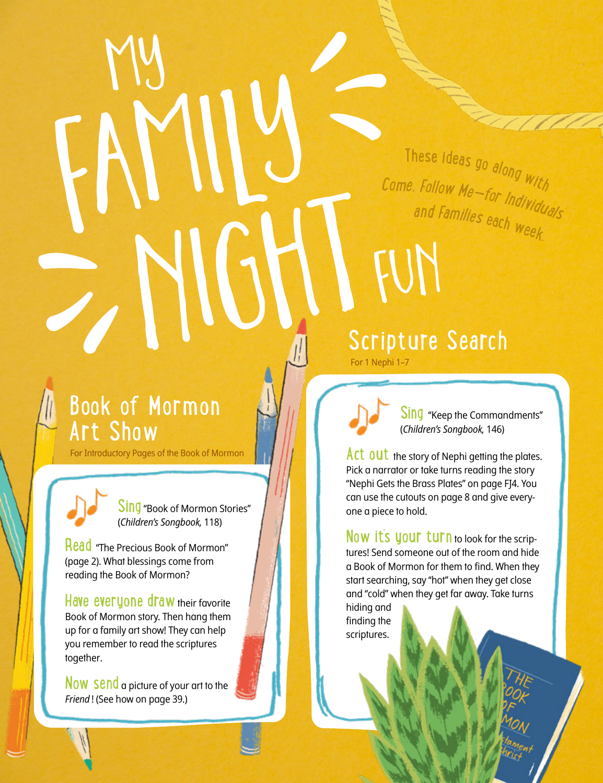<sup>C</sup>ome, <sup>F</sup>ollo<sup>w</sup> <sup>M</sup>e—fo<sup>r</sup> <sup>I</sup>ndividual<sup>s</sup> These ideas go along with <sup>a</sup>n<sup>d</sup> <sup>F</sup>amilie<sup>s</sup> <sup>e</sup>ac<sup>h</sup> <sup>w</sup>eek.

## Book of Mormon Art Show

For Introductory Pages of the Book of Mormon

FAMILY



Read "The Precious Book of Mormon" (page 2). What blessings come from reading the Book of Mormon?

Have everyone draw their favorite Book of Mormon story. Then hang them up for a family art show! They can help you remember to read the scriptures together.

Now Send a picture of your art to the *Friend* ! (See how on page 39.)

**6** Friend

NIGHT Scripture Search For 1 Nephi 1–7

FUN

Sing "Keep the Commandments" (*Children's Songbook,* 146)

Act out the story of Nephi getting the plates. Pick a narrator or take turns reading the story "Nephi Gets the Brass Plates" on page FJ4. You can use the cutouts on page 8 and give everyone a piece to hold.

Now it's your turn to look for the scriptures! Send someone out of the room and hide a Book of Mormon for them to find. When they start searching, say "hot" when they get close and "cold" when they get far away. Take turns

hiding and finding the scriptures.